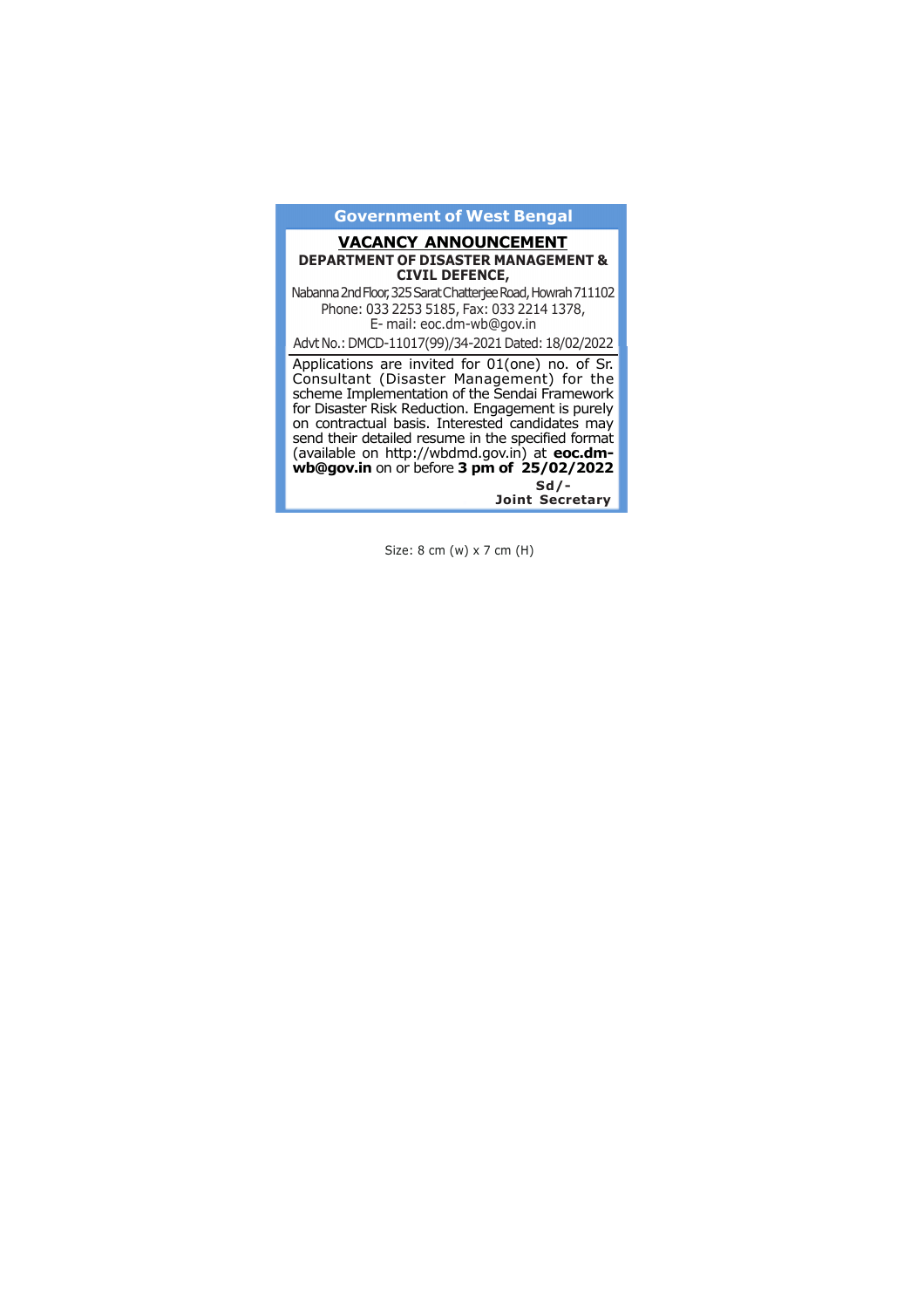### **Government of West Bengal**

### **VACANCY ANNOUNCEMENT DEPARTMENT OF DISASTER MANAGEMENT & CIVIL DEFENCE,**

Nabanna 2nd Floor, 325 Sarat Chatterjee Road, Howrah 711102 Phone: 033 2253 5185, Fax: 033 2214 1378, E- mail: eoc.dm-wb@gov.in

Advt No.: DMCD-11017(99)/34-2021 Dated: 18/02/2022

Applications are invited for 01(one) no. of Sr. Consultant (Disaster Management) for the scheme Implementation of the Sendai Framework for Disaster Risk Reduction. Engagement is purely on contractual basis. Interested candidates may send their detailed resume in the specified format (available on http://wbdmd.gov.in) at **eoc.dmwb@gov.in** on or before **3 pm of 25/02/2022 Sd/-**

**Joint Secretary**

Size: 8 cm (w) x 7 cm (H)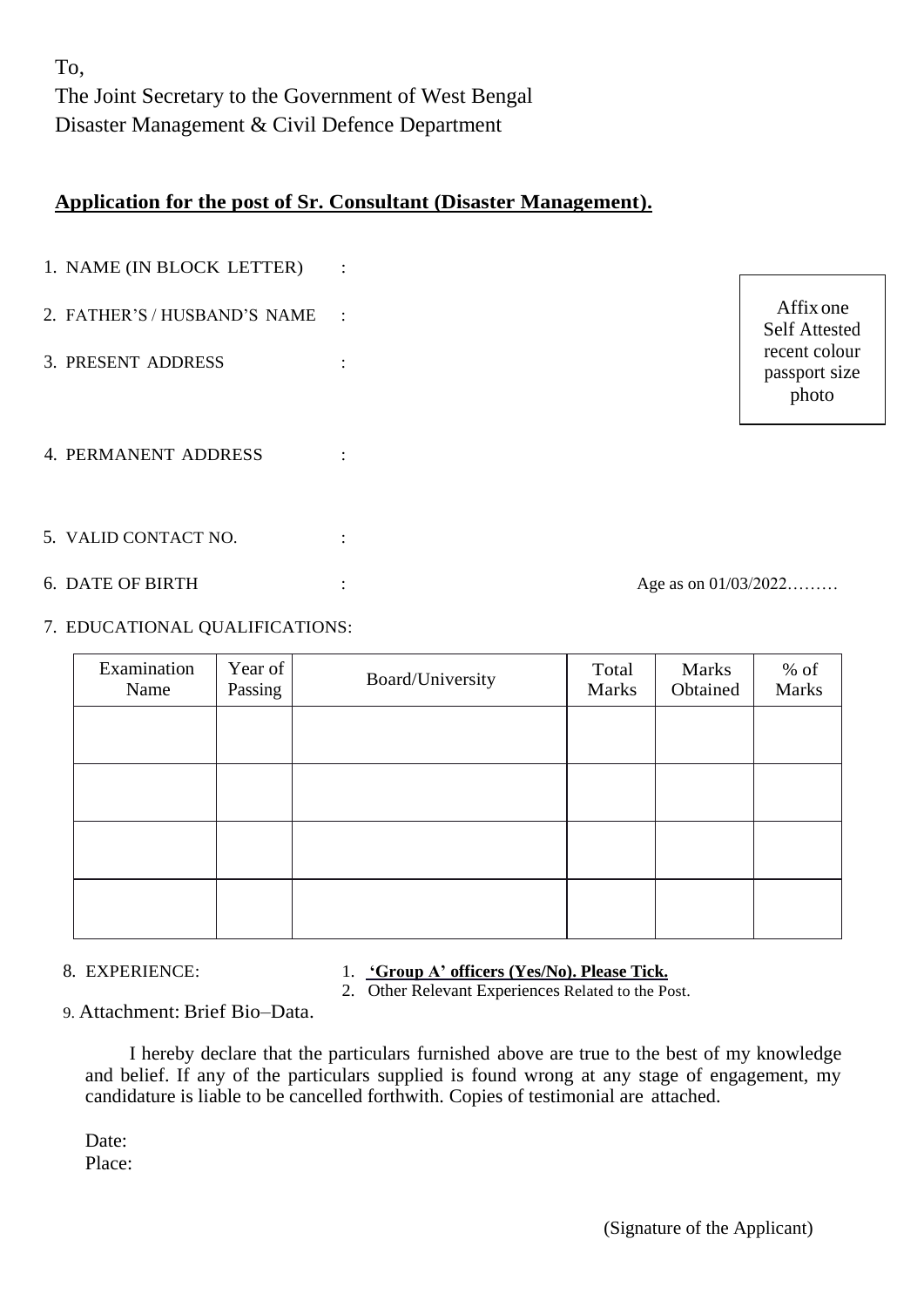To, The Joint Secretary to the Government of West Bengal Disaster Management & Civil Defence Department

## **Application for the post of Sr. Consultant (Disaster Management).**

| 1. NAME (IN BLOCK LETTER)    | $\ddot{\cdot}$ |                      |                                         |
|------------------------------|----------------|----------------------|-----------------------------------------|
| 2. FATHER'S / HUSBAND'S NAME | $\sim$ 1       |                      | Affix one<br><b>Self Attested</b>       |
| 3. PRESENT ADDRESS           |                |                      | recent colour<br>passport size<br>photo |
| 4. PERMANENT ADDRESS         |                |                      |                                         |
| 5. VALID CONTACT NO.         |                |                      |                                         |
| <b>6. DATE OF BIRTH</b>      |                | Age as on 01/03/2022 |                                         |

## 7. EDUCATIONAL QUALIFICATIONS:

| Examination<br>Name | Year of<br>Passing | Board/University | Total<br>Marks | Marks<br>Obtained | $%$ of<br>Marks |
|---------------------|--------------------|------------------|----------------|-------------------|-----------------|
|                     |                    |                  |                |                   |                 |
|                     |                    |                  |                |                   |                 |
|                     |                    |                  |                |                   |                 |
|                     |                    |                  |                |                   |                 |

## 8. EXPERIENCE: 1. **'Group A' officers (Yes/No). Please Tick.**

2. Other Relevant Experiences Related to the Post.

9. Attachment: Brief Bio–Data.

I hereby declare that the particulars furnished above are true to the best of my knowledge and belief. If any of the particulars supplied is found wrong at any stage of engagement, my candidature is liable to be cancelled forthwith. Copies of testimonial are attached.

Date: Place: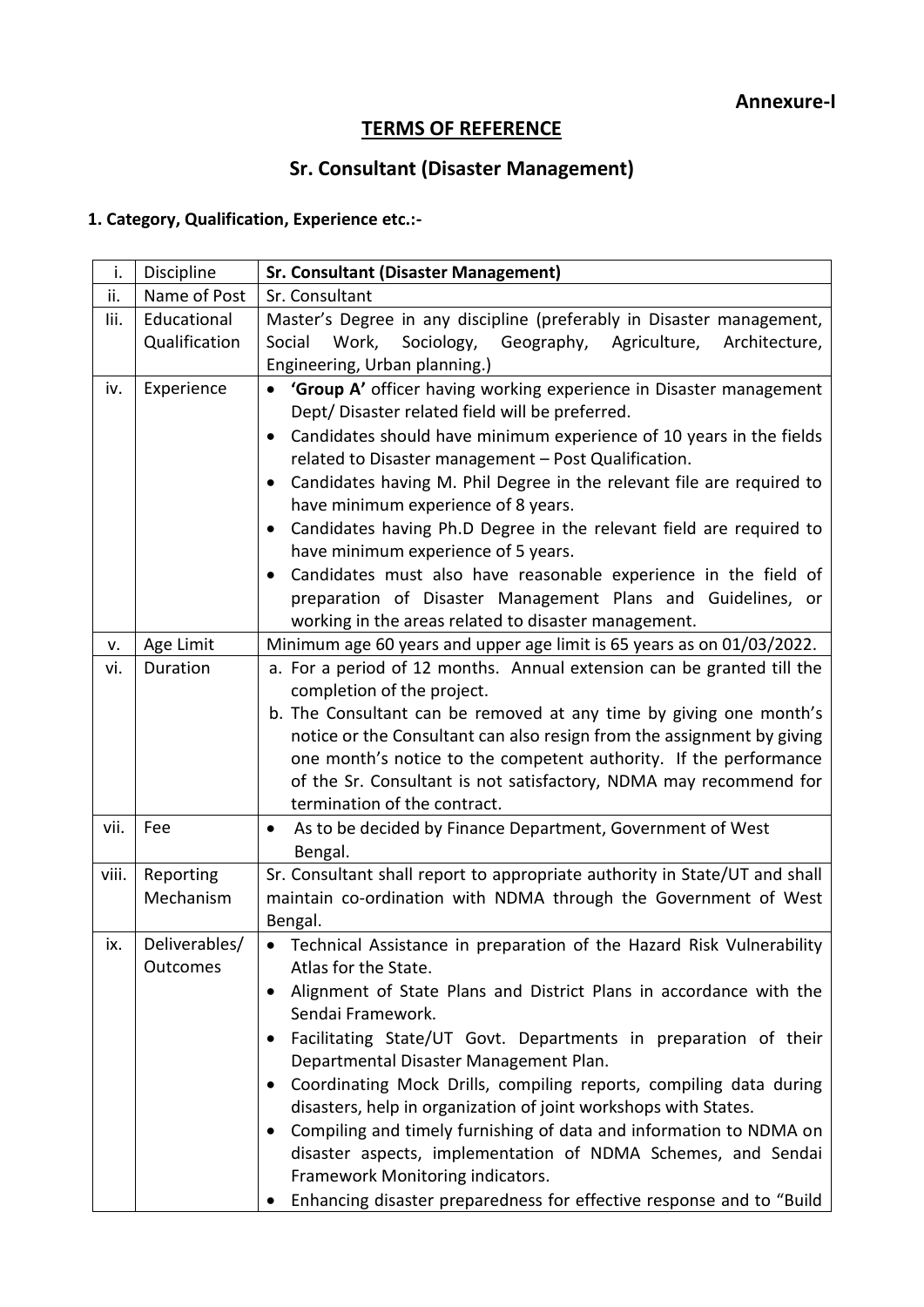# **TERMS OF REFERENCE**

# **Sr. Consultant (Disaster Management)**

# **1. Category, Qualification, Experience etc.:-**

| i.    | Discipline                | <b>Sr. Consultant (Disaster Management)</b>                                                                                                                                                                                                                                                                                                                                                                                                                                                                                                                                                                                                                                                                                              |
|-------|---------------------------|------------------------------------------------------------------------------------------------------------------------------------------------------------------------------------------------------------------------------------------------------------------------------------------------------------------------------------------------------------------------------------------------------------------------------------------------------------------------------------------------------------------------------------------------------------------------------------------------------------------------------------------------------------------------------------------------------------------------------------------|
| ii.   | Name of Post              | Sr. Consultant                                                                                                                                                                                                                                                                                                                                                                                                                                                                                                                                                                                                                                                                                                                           |
| lii.  | Educational               | Master's Degree in any discipline (preferably in Disaster management,                                                                                                                                                                                                                                                                                                                                                                                                                                                                                                                                                                                                                                                                    |
|       | Qualification             | Social<br>Work,<br>Sociology,<br>Geography,<br>Agriculture,<br>Architecture,                                                                                                                                                                                                                                                                                                                                                                                                                                                                                                                                                                                                                                                             |
|       |                           | Engineering, Urban planning.)                                                                                                                                                                                                                                                                                                                                                                                                                                                                                                                                                                                                                                                                                                            |
| iv.   | Experience                | 'Group A' officer having working experience in Disaster management<br>Dept/Disaster related field will be preferred.<br>Candidates should have minimum experience of 10 years in the fields<br>$\bullet$<br>related to Disaster management - Post Qualification.<br>Candidates having M. Phil Degree in the relevant file are required to<br>$\bullet$<br>have minimum experience of 8 years.<br>Candidates having Ph.D Degree in the relevant field are required to<br>$\bullet$<br>have minimum experience of 5 years.<br>Candidates must also have reasonable experience in the field of<br>$\bullet$<br>preparation of Disaster Management Plans and Guidelines, or<br>working in the areas related to disaster management.          |
| ٧.    | Age Limit                 | Minimum age 60 years and upper age limit is 65 years as on 01/03/2022.                                                                                                                                                                                                                                                                                                                                                                                                                                                                                                                                                                                                                                                                   |
| vi.   | Duration                  | a. For a period of 12 months. Annual extension can be granted till the<br>completion of the project.<br>b. The Consultant can be removed at any time by giving one month's<br>notice or the Consultant can also resign from the assignment by giving<br>one month's notice to the competent authority. If the performance<br>of the Sr. Consultant is not satisfactory, NDMA may recommend for<br>termination of the contract.                                                                                                                                                                                                                                                                                                           |
| vii.  | Fee                       | As to be decided by Finance Department, Government of West<br>Bengal.                                                                                                                                                                                                                                                                                                                                                                                                                                                                                                                                                                                                                                                                    |
| viii. | Reporting<br>Mechanism    | Sr. Consultant shall report to appropriate authority in State/UT and shall<br>maintain co-ordination with NDMA through the Government of West<br>Bengal.                                                                                                                                                                                                                                                                                                                                                                                                                                                                                                                                                                                 |
| ix.   | Deliverables/<br>Outcomes | • Technical Assistance in preparation of the Hazard Risk Vulnerability<br>Atlas for the State.<br>Alignment of State Plans and District Plans in accordance with the<br>Sendai Framework.<br>Facilitating State/UT Govt. Departments in preparation of their<br>$\bullet$<br>Departmental Disaster Management Plan.<br>Coordinating Mock Drills, compiling reports, compiling data during<br>$\bullet$<br>disasters, help in organization of joint workshops with States.<br>Compiling and timely furnishing of data and information to NDMA on<br>$\bullet$<br>disaster aspects, implementation of NDMA Schemes, and Sendai<br>Framework Monitoring indicators.<br>Enhancing disaster preparedness for effective response and to "Build |